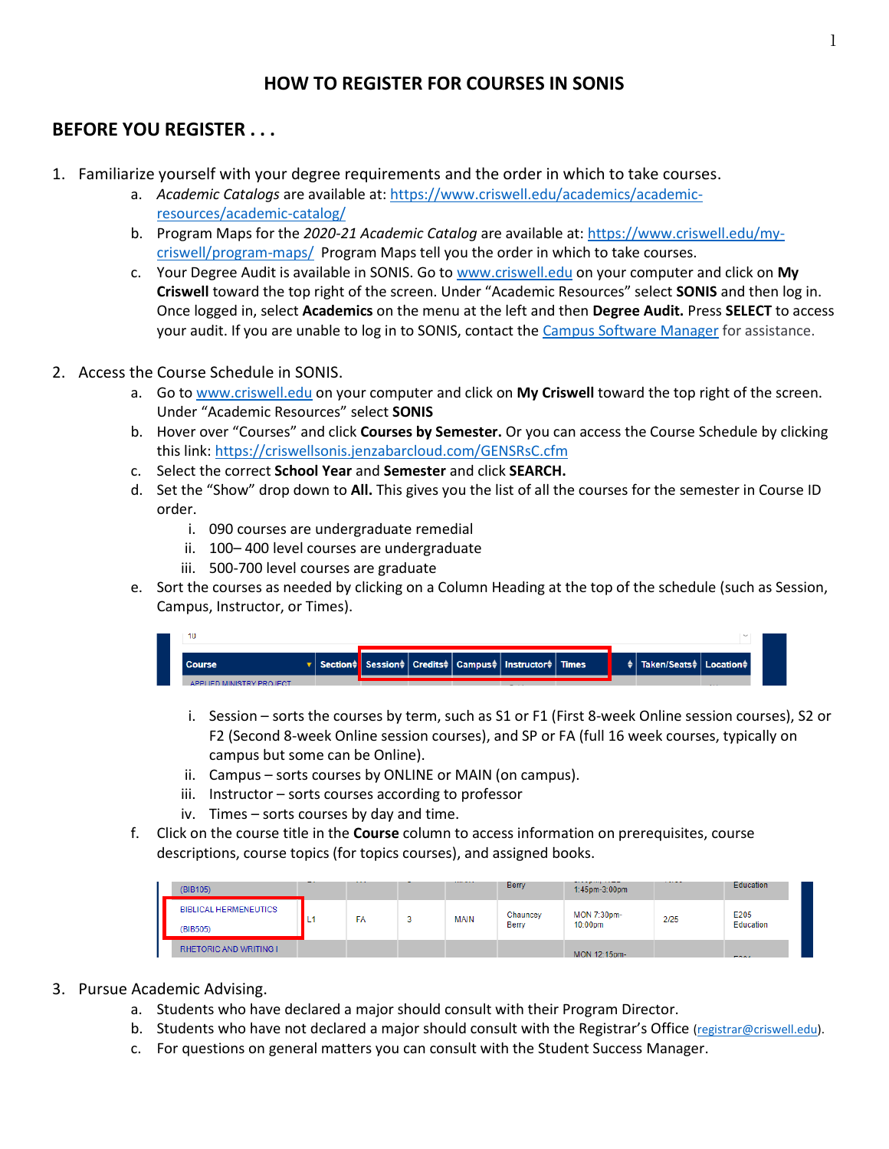# **HOW TO REGISTER FOR COURSES IN SONIS**

# **BEFORE YOU REGISTER . . .**

- 1. Familiarize yourself with your degree requirements and the order in which to take courses.
	- a. *Academic Catalogs* are available at[: https://www.criswell.edu/academics/academic](https://www.criswell.edu/academics/academic-resources/academic-catalog/)[resources/academic-catalog/](https://www.criswell.edu/academics/academic-resources/academic-catalog/)
	- b. Program Maps for the *2020-21 Academic Catalog* are available at[: https://www.criswell.edu/my](https://www.criswell.edu/my-criswell/program-maps/)[criswell/program-maps/](https://www.criswell.edu/my-criswell/program-maps/) Program Maps tell you the order in which to take courses.
	- c. Your Degree Audit is available in SONIS. Go t[o www.criswell.edu](http://www.criswell.edu/) on your computer and click on **My Criswell** toward the top right of the screen. Under "Academic Resources" select **SONIS** and then log in. Once logged in, select **Academics** on the menu at the left and then **Degree Audit.** Press **SELECT** to access your audit. If you are unable to log in to SONIS, contact th[e Campus Software Manager](mailto:rduke@criswell.edu) for assistance.
- 2. Access the Course Schedule in SONIS.
	- a. Go to [www.criswell.edu](http://www.criswell.edu/) on your computer and click on **My Criswell** toward the top right of the screen. Under "Academic Resources" select **SONIS**
	- b. Hover over "Courses" and click **Courses by Semester.** Or you can access the Course Schedule by clicking this link:<https://criswellsonis.jenzabarcloud.com/GENSRsC.cfm>
	- c. Select the correct **School Year** and **Semester** and click **SEARCH.**
	- d. Set the "Show" drop down to **All.** This gives you the list of all the courses for the semester in Course ID order.
		- i. 090 courses are undergraduate remedial
		- ii. 100– 400 level courses are undergraduate
		- iii. 500-700 level courses are graduate
	- e. Sort the courses as needed by clicking on a Column Heading at the top of the schedule (such as Session, Campus, Instructor, or Times).

| <b>Course</b>            |  |  | 「▼ Section≑ Session≑ Credits≑ Campus≑ Instructor≑ Times |  | $\frac{1}{2}$ Taken/Seats $\frac{1}{2}$ Location $\frac{1}{2}$ |   |
|--------------------------|--|--|---------------------------------------------------------|--|----------------------------------------------------------------|---|
| APPLIED MINISTRY PROJECT |  |  | - -                                                     |  |                                                                | . |

- i. Session sorts the courses by term, such as S1 or F1 (First 8-week Online session courses), S2 or F2 (Second 8-week Online session courses), and SP or FA (full 16 week courses, typically on campus but some can be Online).
- ii. Campus sorts courses by ONLINE or MAIN (on campus).
- iii. Instructor sorts courses according to professor
- iv. Times sorts courses by day and time.
- f. Click on the course title in the **Course** column to access information on prerequisites, course descriptions, course topics (for topics courses), and assigned books.

| (BIB105)                                 |      | ---- | --------    | <b>Berry</b>      | ------------<br>1:45pm-3:00pm | ----- | Education         |
|------------------------------------------|------|------|-------------|-------------------|-------------------------------|-------|-------------------|
| <b>BIBLICAL HERMENEUTICS</b><br>(BIB505) | . L1 | FA   | <b>MAIN</b> | Chauncey<br>Berry | MON 7:30pm-<br>10:00pm        | 2/25  | E205<br>Education |
| <b>RHETORIC AND WRITING I</b>            |      |      |             |                   | MON 12:15pm-                  |       | <b>FOOA</b>       |

### 3. Pursue Academic Advising.

- a. Students who have declared a major should consult with their Program Director.
- b. Students who have not declared a major should consult with the Registrar's Office [\(registrar@criswell.edu\)](mailto:registrar@criswell.edu).
- c. For questions on general matters you can consult with the Student Success Manager.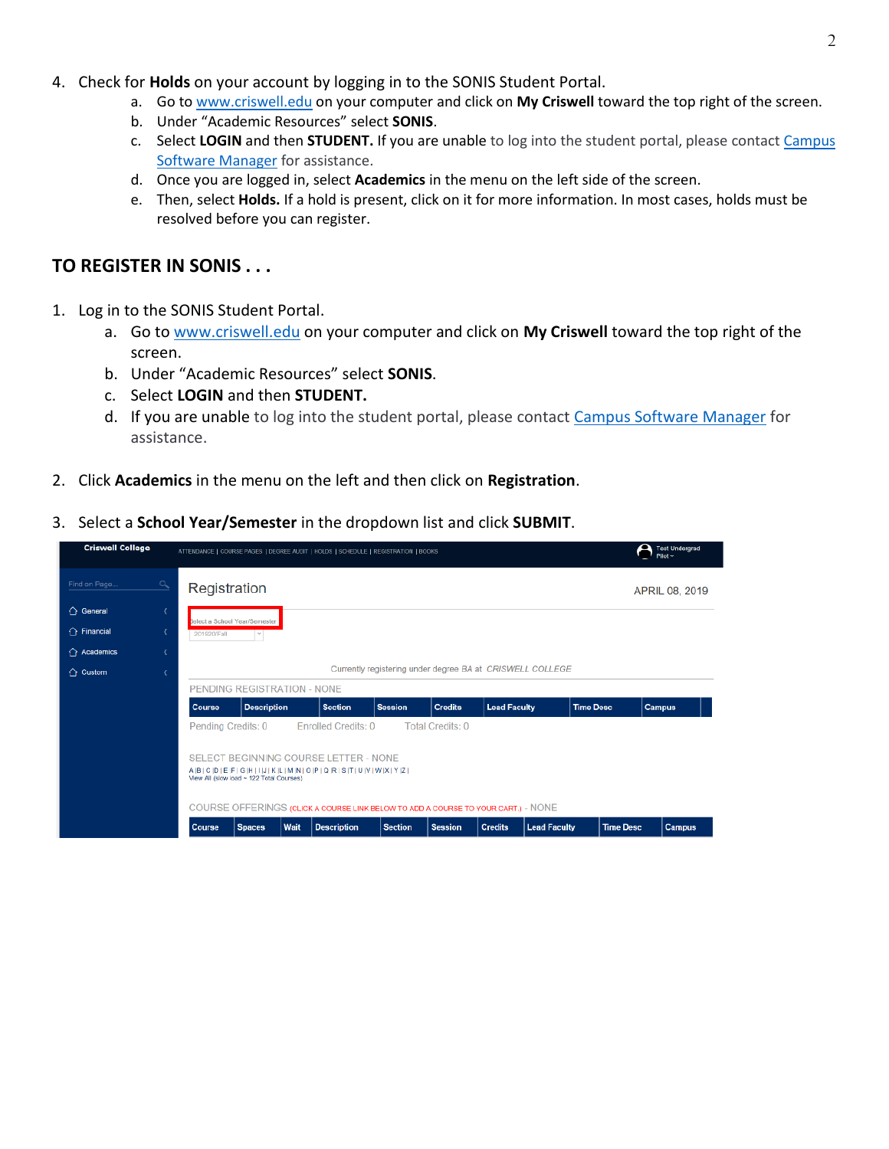- 4. Check for **Holds** on your account by logging in to the SONIS Student Portal.
	- a. Go to [www.criswell.edu](http://www.criswell.edu/) on your computer and click on **My Criswell** toward the top right of the screen.
	- b. Under "Academic Resources" select **SONIS**.
	- c. Select **LOGIN** and then **STUDENT.** If you are unable to log into the student portal, please contact [Campus](mailto:rduke@criswell.edu)  [Software Manager](mailto:rduke@criswell.edu) for assistance.
	- d. Once you are logged in, select **Academics** in the menu on the left side of the screen.
	- e. Then, select **Holds.** If a hold is present, click on it for more information. In most cases, holds must be resolved before you can register.

## **TO REGISTER IN SONIS . . .**

- 1. Log in to the SONIS Student Portal.
	- a. Go t[o www.criswell.edu](http://www.criswell.edu/) on your computer and click on **My Criswell** toward the top right of the screen.
	- b. Under "Academic Resources" select **SONIS**.
	- c. Select **LOGIN** and then **STUDENT.**
	- d. If you are unable to log into the student portal, please contact [Campus Software Manager](mailto:rduke@criswell.edu) for assistance.
- 2. Click **Academics** in the menu on the left and then click on **Registration**.
- 3. Select a **School Year/Semester** in the dropdown list and click **SUBMIT**.

| <b>Criswell College</b> |                         |                                                           |                              |      | ATTENDANCE   COURSE PAGES   DEGREE AUDIT   HOLDS   SCHEDULE   REGISTRATION   BOOKS                                       |                |                         |                     |                     |                  |                  | Fest Undergrad<br>Pilot ~ |  |  |  |
|-------------------------|-------------------------|-----------------------------------------------------------|------------------------------|------|--------------------------------------------------------------------------------------------------------------------------|----------------|-------------------------|---------------------|---------------------|------------------|------------------|---------------------------|--|--|--|
| Find on Page.           | $\sigma$                | Registration                                              |                              |      |                                                                                                                          |                |                         |                     |                     |                  |                  | APRIL 08, 2019            |  |  |  |
| ← General               | $\overline{\mathbf{C}}$ |                                                           | elect a School Year/Semester |      |                                                                                                                          |                |                         |                     |                     |                  |                  |                           |  |  |  |
| $\hat{C}$ Financial     |                         | 201920/Fall                                               | $\sim$                       |      |                                                                                                                          |                |                         |                     |                     |                  |                  |                           |  |  |  |
| $\bigcap$ Academics     |                         |                                                           |                              |      |                                                                                                                          |                |                         |                     |                     |                  |                  |                           |  |  |  |
| ← Custom                | ¢                       | Currently registering under degree BA at CRISWELL COLLEGE |                              |      |                                                                                                                          |                |                         |                     |                     |                  |                  |                           |  |  |  |
|                         |                         |                                                           | PENDING REGISTRATION - NONE  |      |                                                                                                                          |                |                         |                     |                     |                  |                  |                           |  |  |  |
|                         |                         | <b>Description</b><br>Course                              |                              |      | <b>Section</b>                                                                                                           | <b>Session</b> | <b>Credits</b>          | <b>Lead Faculty</b> |                     | <b>Time Desc</b> |                  | <b>Campus</b>             |  |  |  |
|                         |                         | Pending Credits: 0                                        |                              |      | Enrolled Credits: 0                                                                                                      |                | <b>Total Credits: 0</b> |                     |                     |                  |                  |                           |  |  |  |
|                         |                         | View All (slow load ~ 122 Total Courses)                  |                              |      | SELECT BEGINNING COURSE LETTER - NONE<br>$A  B  C  D  E  F  G  H  1  J  K  L  M  N  O  P  Q  R  S  T  U  V  W  X  Y  Z $ |                |                         |                     |                     |                  |                  |                           |  |  |  |
|                         |                         |                                                           |                              |      | COURSE OFFERINGS (CLICK A COURSE LINK BELOW TO ADD A COURSE TO YOUR CART.) - NONE                                        |                |                         |                     |                     |                  |                  |                           |  |  |  |
|                         |                         | Course                                                    | <b>Spaces</b>                | Wait | <b>Description</b>                                                                                                       | <b>Section</b> | <b>Session</b>          | <b>Credits</b>      | <b>Lead Faculty</b> |                  | <b>Time Desc</b> | <b>Campus</b>             |  |  |  |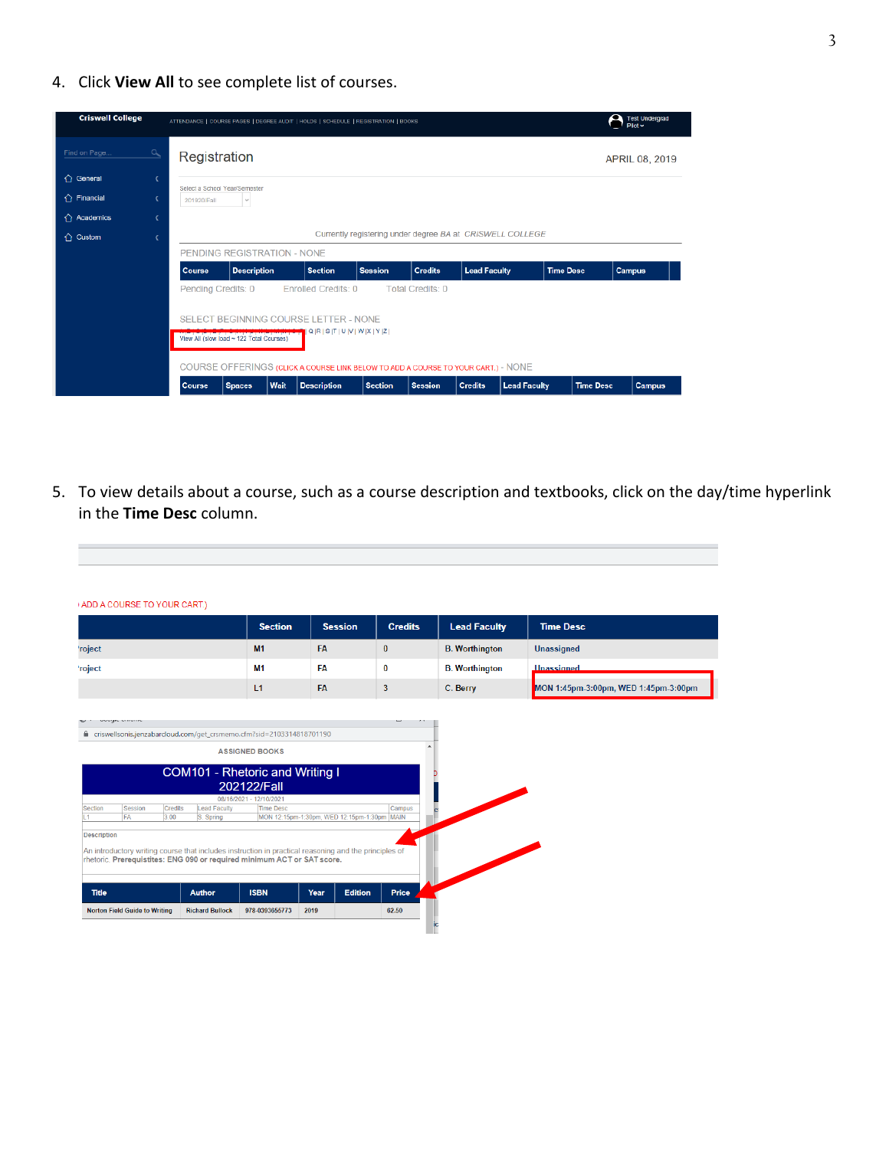4. Click **View All** to see complete list of courses.



5. To view details about a course, such as a course description and textbooks, click on the day/time hyperlink in the **Time Desc** column.

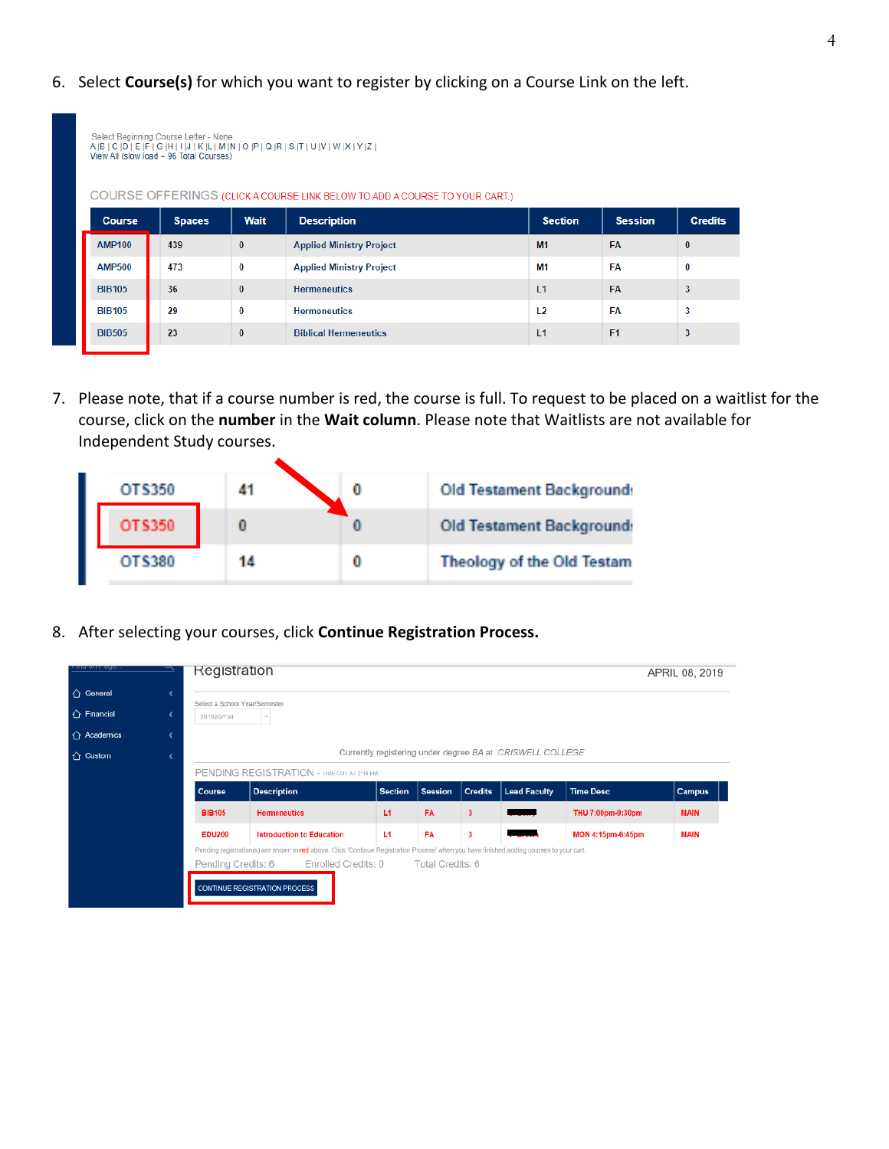6. Select **Course(s)** for which you want to register by clicking on a Course Link on the left.

| Select Beginning Course Letter - None<br>$A B C D E F G H I J K L M N O P Q R S T U V W X Y Z $<br>View All (slow load ~ 96 Total Courses)<br>COURSE OFFERINGS (CLICK A COURSE LINK BELOW TO ADD A COURSE TO YOUR CART.) |               |              |                                 |                |                |                |  |  |  |  |  |
|--------------------------------------------------------------------------------------------------------------------------------------------------------------------------------------------------------------------------|---------------|--------------|---------------------------------|----------------|----------------|----------------|--|--|--|--|--|
| <b>Course</b>                                                                                                                                                                                                            | <b>Spaces</b> | Wait         | <b>Description</b>              | <b>Section</b> | <b>Session</b> | <b>Credits</b> |  |  |  |  |  |
| <b>AMP100</b>                                                                                                                                                                                                            | 439           | $\bf{0}$     | <b>Applied Ministry Project</b> | M1             | <b>FA</b>      | $\mathbf{0}$   |  |  |  |  |  |
| <b>AMP500</b>                                                                                                                                                                                                            | 473           | 0            | <b>Applied Ministry Project</b> | <b>M1</b>      | FA             | $\bf{0}$       |  |  |  |  |  |
| <b>BIB105</b>                                                                                                                                                                                                            | 36            | $\mathbf{0}$ | <b>Hermeneutics</b>             | 11             | <b>FA</b>      | 3              |  |  |  |  |  |
| <b>BIB105</b>                                                                                                                                                                                                            | 29            | 0            | <b>Hermeneutics</b>             | L <sub>2</sub> | FΑ             | 3              |  |  |  |  |  |
| <b>BIB505</b>                                                                                                                                                                                                            | 23            | $\bf{0}$     | <b>Biblical Hermeneutics</b>    | L1             | F <sub>1</sub> | 3              |  |  |  |  |  |
|                                                                                                                                                                                                                          |               |              |                                 |                |                |                |  |  |  |  |  |

7. Please note, that if a course number is red, the course is full. To request to be placed on a waitlist for the course, click on the **number** in the **Wait column**. Please note that Waitlists are not available for Independent Study courses.

| <b>OTS350</b> |    | <b>Old Testament Background:</b>  |
|---------------|----|-----------------------------------|
| OTS350        |    | <b>Old Testament Background:</b>  |
| oussen        | 14 | <b>Theology of the Old Testam</b> |

8. After selecting your courses, click **Continue Registration Process.**

 $\blacktriangle$ 

| nu um eyo           | <b>Registration</b>                                       |                                                                                                                                           |                |                |                         |                     |                   | APRIL 08, 2019 |  |  |  |  |  |
|---------------------|-----------------------------------------------------------|-------------------------------------------------------------------------------------------------------------------------------------------|----------------|----------------|-------------------------|---------------------|-------------------|----------------|--|--|--|--|--|
| ↑ General           |                                                           |                                                                                                                                           |                |                |                         |                     |                   |                |  |  |  |  |  |
| $\hat{C}$ Financial | Select a School Year/Semester<br>201920/Fall<br>$\sim$    |                                                                                                                                           |                |                |                         |                     |                   |                |  |  |  |  |  |
| $\hat{O}$ Academics |                                                           |                                                                                                                                           |                |                |                         |                     |                   |                |  |  |  |  |  |
| $\bigcap$ Custom    | Currently registering under degree BA at CRISWELL COLLEGE |                                                                                                                                           |                |                |                         |                     |                   |                |  |  |  |  |  |
|                     |                                                           | PENDING REGISTRATION - TIME OUT AT 2:14 PM.                                                                                               |                |                |                         |                     |                   |                |  |  |  |  |  |
|                     | <b>Course</b>                                             | <b>Description</b>                                                                                                                        | <b>Section</b> | <b>Session</b> | <b>Credits</b>          | <b>Lead Faculty</b> | <b>Time Desc</b>  | <b>Campus</b>  |  |  |  |  |  |
|                     | <b>BIB105</b>                                             | <b>Hermeneutics</b>                                                                                                                       | L1             | <b>FA</b>      | $\overline{\mathbf{3}}$ |                     | THU 7:00pm-9:30pm | <b>MAIN</b>    |  |  |  |  |  |
|                     | <b>EDU200</b>                                             | <b>Introduction to Education</b>                                                                                                          | L1             | <b>FA</b>      | 3                       |                     | MON 4:15pm-6:45pm | <b>MAIN</b>    |  |  |  |  |  |
|                     |                                                           | Pending registration(s) are shown in red above. Click 'Continue Registration Process' when you have finished adding courses to your cart. |                |                |                         |                     |                   |                |  |  |  |  |  |
|                     | Pending Credits: 6                                        | Enrolled Credits: 0 Total Credits: 6                                                                                                      |                |                |                         |                     |                   |                |  |  |  |  |  |
|                     |                                                           |                                                                                                                                           |                |                |                         |                     |                   |                |  |  |  |  |  |
|                     |                                                           | <b>CONTINUE REGISTRATION PROCESS</b>                                                                                                      |                |                |                         |                     |                   |                |  |  |  |  |  |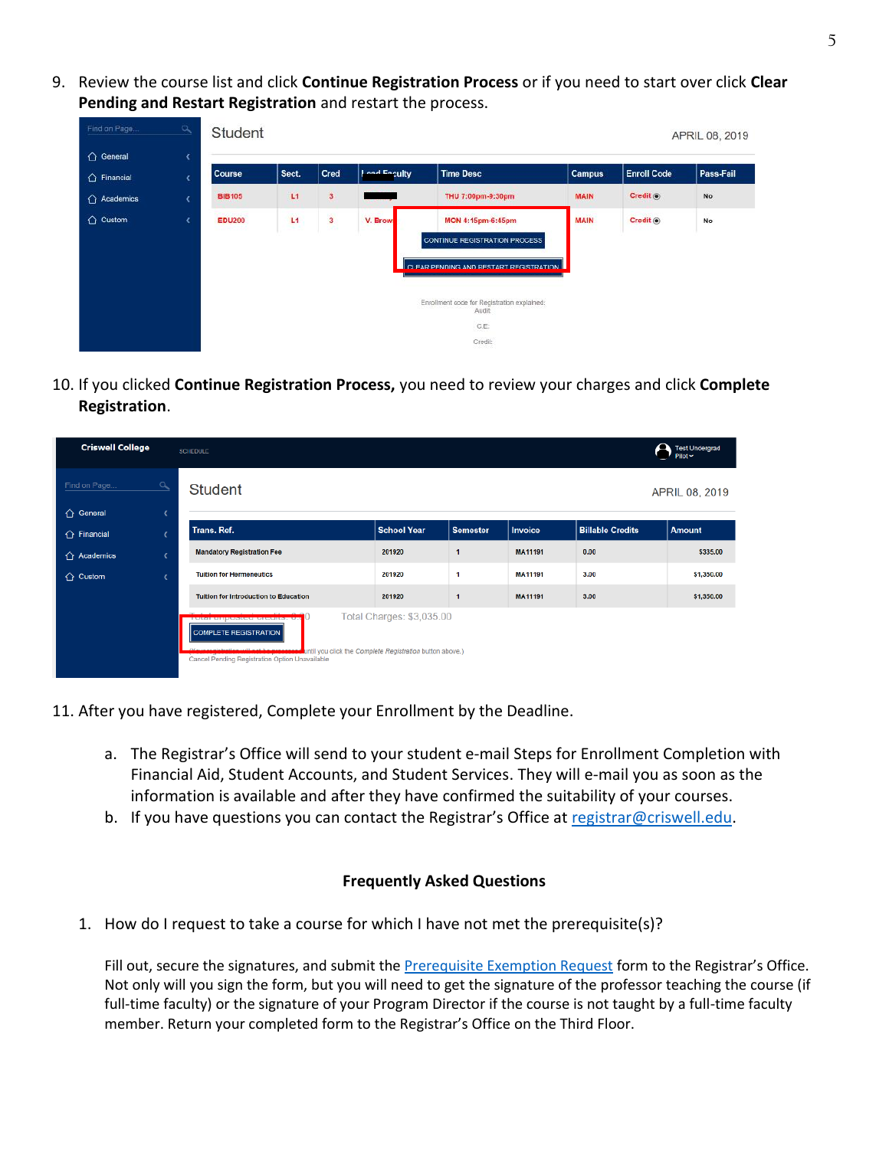9. Review the course list and click **Continue Registration Process** or if you need to start over click **Clear Pending and Restart Registration** and restart the process.

| Find on Page.       | $\mathbf{a}$            | Student       |       |                      |              |                                                                                              |               |                     | APRIL 08, 2019 |
|---------------------|-------------------------|---------------|-------|----------------------|--------------|----------------------------------------------------------------------------------------------|---------------|---------------------|----------------|
| ← General           | x                       |               |       |                      |              |                                                                                              |               |                     |                |
| $\hat{O}$ Financial | ¢                       | Course        | Sect. | Cred                 | Load Eaculty | <b>Time Desc</b>                                                                             | <b>Campus</b> | <b>Enroll Code</b>  | Pass-Fail      |
| △ Academics         | $\overline{\mathbf{C}}$ | <b>BIB105</b> | L1    | 3                    |              | THU 7:00pm-9:30pm                                                                            | <b>MAIN</b>   | Credit <sup>®</sup> | No             |
| $\bigcap$ Custom    | ¢.                      | <b>EDU200</b> | L1    | $\overline{3}$<br>æ. | V. Brown     | MON 4:15pm-6:45pm<br>CONTINUE REGISTRATION PROCESS<br>CLEAR PENDING AND RESTART REGISTRATION | <b>MAIN</b>   | Credit <sup>®</sup> | No             |
|                     |                         |               |       |                      |              | Enrollment code for Registration explained:<br>Audit:<br>C.E<br>Credit:<br>- 83              |               |                     |                |

10. If you clicked **Continue Registration Process,** you need to review your charges and click **Complete Registration**.

| <b>Criswell College</b>  | <b>SCHEDULE</b>                                                                                       |                                                                                       |                 |                |                         | <b>Test Undergrad</b><br>Pilot |
|--------------------------|-------------------------------------------------------------------------------------------------------|---------------------------------------------------------------------------------------|-----------------|----------------|-------------------------|--------------------------------|
| $\alpha$<br>Find on Page | <b>Student</b>                                                                                        |                                                                                       |                 |                |                         | APRIL 08, 2019                 |
| $\hat{ }$ General        |                                                                                                       |                                                                                       |                 |                |                         |                                |
| $\hat{ }$ Financial      | Trans. Ref.                                                                                           | <b>School Year</b>                                                                    | <b>Semester</b> | <b>Invoice</b> | <b>Billable Credits</b> | <b>Amount</b>                  |
| $\bigcap$ Academics      | <b>Mandatory Registration Fee</b>                                                                     | 201920                                                                                | ۹               | MA11191        | 0.00                    | \$335.00                       |
| $\hat{C}$ Custom         | <b>Tuition for Hermeneutics</b>                                                                       | 201920                                                                                | 1               | MA11191        | 3.00                    | \$1,350.00                     |
|                          | <b>Tuition for Introduction to Education</b>                                                          | 201920                                                                                | и               | <b>MA11191</b> | 3.00                    | \$1,350.00                     |
|                          | LAtel milhagen ningura: AV<br>COMPLETE REGISTRATION<br>Cancel Pending Registration Option Unavailable | Total Charges: \$3,035.00<br>intil you click the Complete Registration button above.) |                 |                |                         |                                |

- 11. After you have registered, Complete your Enrollment by the Deadline.
	- a. The Registrar's Office will send to your student e-mail Steps for Enrollment Completion with Financial Aid, Student Accounts, and Student Services. They will e-mail you as soon as the information is available and after they have confirmed the suitability of your courses.
	- b. If you have questions you can contact the Registrar's Office at [registrar@criswell.edu.](mailto:registrar@criswell.edu)

#### **Frequently Asked Questions**

1. How do I request to take a course for which I have not met the prerequisite(s)?

Fill out, secure the signatures, and submit th[e Prerequisite Exemption Request](https://www.criswell.edu/wp-content/uploads/2021/04/Prerequisite-Exemption-Request-Form.453.08.A.pdf) form to the Registrar's Office. Not only will you sign the form, but you will need to get the signature of the professor teaching the course (if full-time faculty) or the signature of your Program Director if the course is not taught by a full-time faculty member. Return your completed form to the Registrar's Office on the Third Floor.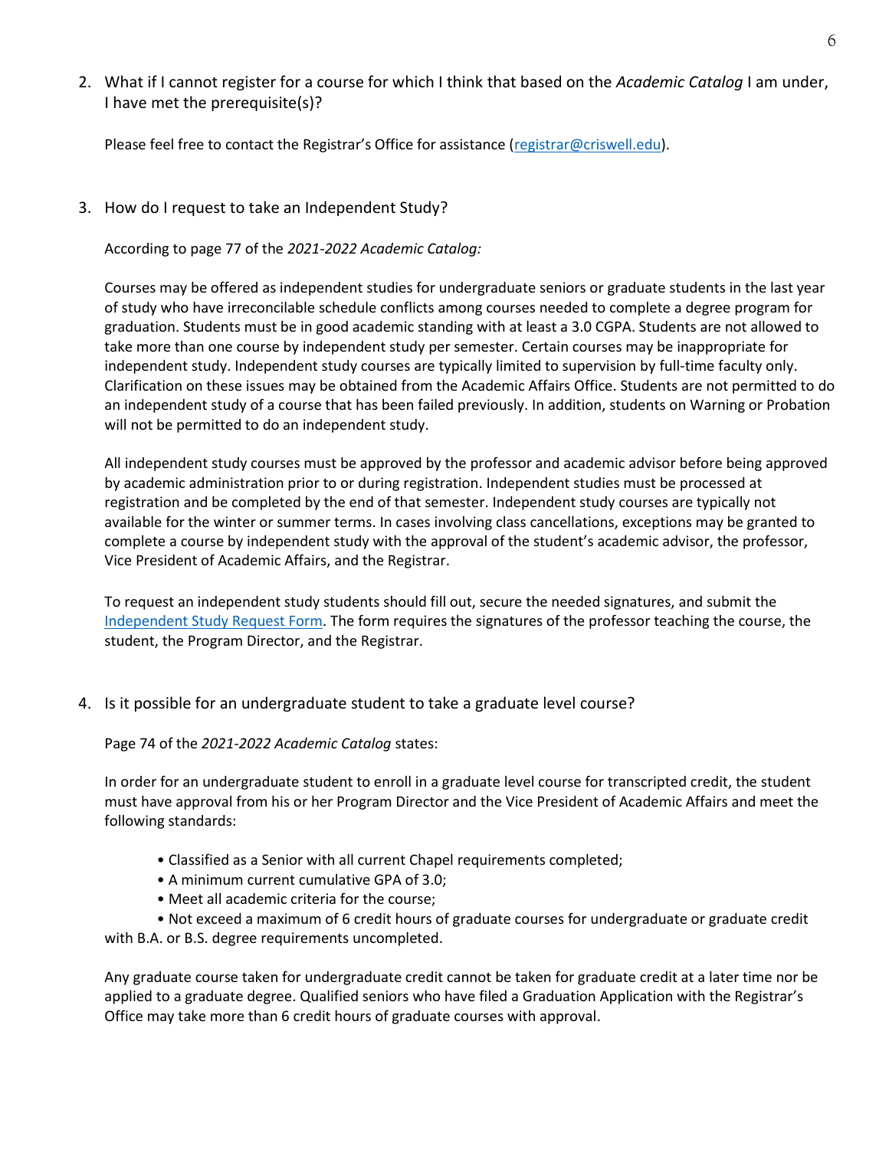2. What if I cannot register for a course for which I think that based on the *Academic Catalog* I am under, I have met the prerequisite(s)?

Please feel free to contact the Registrar's Office for assistance ([registrar@criswell.edu\)](mailto:registrar@criswell.edu).

3. How do I request to take an Independent Study?

According to page 77 of the *2021-2022 Academic Catalog:* 

Courses may be offered as independent studies for undergraduate seniors or graduate students in the last year of study who have irreconcilable schedule conflicts among courses needed to complete a degree program for graduation. Students must be in good academic standing with at least a 3.0 CGPA. Students are not allowed to take more than one course by independent study per semester. Certain courses may be inappropriate for independent study. Independent study courses are typically limited to supervision by full-time faculty only. Clarification on these issues may be obtained from the Academic Affairs Office. Students are not permitted to do an independent study of a course that has been failed previously. In addition, students on Warning or Probation will not be permitted to do an independent study.

All independent study courses must be approved by the professor and academic advisor before being approved by academic administration prior to or during registration. Independent studies must be processed at registration and be completed by the end of that semester. Independent study courses are typically not available for the winter or summer terms. In cases involving class cancellations, exceptions may be granted to complete a course by independent study with the approval of the student's academic advisor, the professor, Vice President of Academic Affairs, and the Registrar.

To request an independent study students should fill out, secure the needed signatures, and submit the [Independent Study Request Form.](https://www.criswell.edu/wp-content/uploads/2020/11/Independent-Study-Request-Form.453.06.A.pdf) The form requires the signatures of the professor teaching the course, the student, the Program Director, and the Registrar.

4. Is it possible for an undergraduate student to take a graduate level course?

Page 74 of the *2021-2022 Academic Catalog* states:

In order for an undergraduate student to enroll in a graduate level course for transcripted credit, the student must have approval from his or her Program Director and the Vice President of Academic Affairs and meet the following standards:

- Classified as a Senior with all current Chapel requirements completed;
- A minimum current cumulative GPA of 3.0;
- Meet all academic criteria for the course;

• Not exceed a maximum of 6 credit hours of graduate courses for undergraduate or graduate credit with B.A. or B.S. degree requirements uncompleted.

Any graduate course taken for undergraduate credit cannot be taken for graduate credit at a later time nor be applied to a graduate degree. Qualified seniors who have filed a Graduation Application with the Registrar's Office may take more than 6 credit hours of graduate courses with approval.